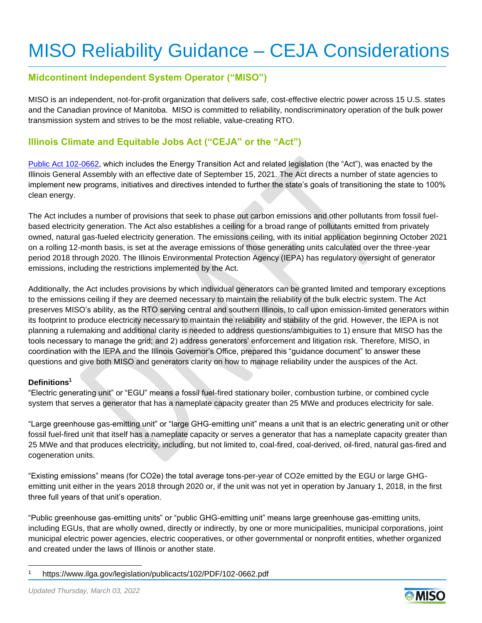# MISO Reliability Guidance – CEJA Considerations

# **Midcontinent Independent System Operator ("MISO")**

MISO is an independent, not-for-profit organization that delivers safe, cost-effective electric power across 15 U.S. states and the Canadian province of Manitoba. MISO is committed to reliability, nondiscriminatory operation of the bulk power transmission system and strives to be the most reliable, value-creating RTO.

# **Illinois Climate and Equitable Jobs Act ("CEJA" or the "Act")**

[Public Act 102-0662,](https://www.ilga.gov/legislation/publicacts/102/PDF/102-0662.pdf) which includes the Energy Transition Act and related legislation (the "Act"), was enacted by the Illinois General Assembly with an effective date of September 15, 2021. The Act directs a number of state agencies to implement new programs, initiatives and directives intended to further the state's goals of transitioning the state to 100% clean energy.

The Act includes a number of provisions that seek to phase out carbon emissions and other pollutants from fossil fuelbased electricity generation. The Act also establishes a ceiling for a broad range of pollutants emitted from privately owned, natural gas-fueled electricity generation. The emissions ceiling, with its initial application beginning October 2021 on a rolling 12-month basis, is set at the average emissions of those generating units calculated over the three-year period 2018 through 2020. The Illinois Environmental Protection Agency (IEPA) has regulatory oversight of generator emissions, including the restrictions implemented by the Act.

Additionally, the Act includes provisions by which individual generators can be granted limited and temporary exceptions to the emissions ceiling if they are deemed necessary to maintain the reliability of the bulk electric system. The Act preserves MISO's ability, as the RTO serving central and southern Illinois, to call upon emission-limited generators within its footprint to produce electricity necessary to maintain the reliability and stability of the grid. However, the IEPA is not planning a rulemaking and additional clarity is needed to address questions/ambiguities to 1) ensure that MISO has the tools necessary to manage the grid; and 2) address generators' enforcement and litigation risk. Therefore, MISO, in coordination with the IEPA and the Illinois Governor's Office, prepared this "guidance document" to answer these questions and give both MISO and generators clarity on how to manage reliability under the auspices of the Act.

### **Definitions<sup>1</sup>**

"Electric generating unit" or "EGU" means a fossil fuel-fired stationary boiler, combustion turbine, or combined cycle system that serves a generator that has a nameplate capacity greater than 25 MWe and produces electricity for sale.

"Large greenhouse gas-emitting unit" or "large GHG-emitting unit" means a unit that is an electric generating unit or other fossil fuel-fired unit that itself has a nameplate capacity or serves a generator that has a nameplate capacity greater than 25 MWe and that produces electricity, including, but not limited to, coal-fired, coal-derived, oil-fired, natural gas-fired and cogeneration units.

"Existing emissions" means (for CO2e) the total average tons-per-year of CO2e emitted by the EGU or large GHGemitting unit either in the years 2018 through 2020 or, if the unit was not yet in operation by January 1, 2018, in the first three full years of that unit's operation.

"Public greenhouse gas-emitting units" or "public GHG-emitting unit" means large greenhouse gas-emitting units, including EGUs, that are wholly owned, directly or indirectly, by one or more municipalities, municipal corporations, joint municipal electric power agencies, electric cooperatives, or other governmental or nonprofit entities, whether organized and created under the laws of Illinois or another state.



<sup>1</sup> https://www.ilga.gov/legislation/publicacts/102/PDF/102-0662.pdf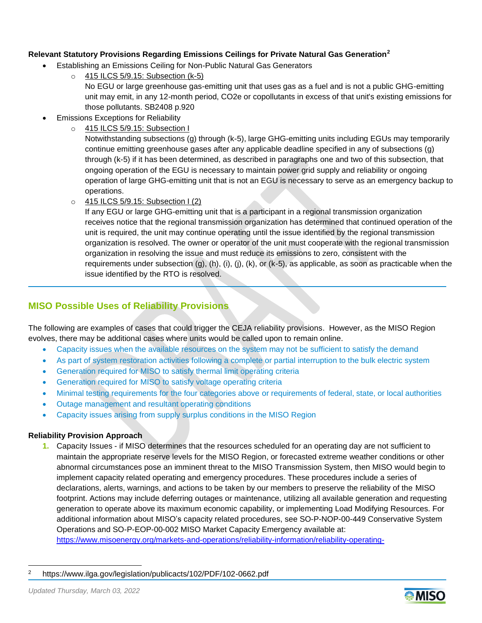## **Relevant Statutory Provisions Regarding Emissions Ceilings for Private Natural Gas Generation<sup>2</sup>**

- Establishing an Emissions Ceiling for Non-Public Natural Gas Generators
	- o 415 ILCS 5/9.15: Subsection (k-5)

No EGU or large greenhouse gas-emitting unit that uses gas as a fuel and is not a public GHG-emitting unit may emit, in any 12-month period, CO2e or copollutants in excess of that unit's existing emissions for those pollutants. SB2408 p.920

- Emissions Exceptions for Reliability
	- o 415 ILCS 5/9.15: Subsection I

Notwithstanding subsections (g) through (k-5), large GHG-emitting units including EGUs may temporarily continue emitting greenhouse gases after any applicable deadline specified in any of subsections (g) through (k-5) if it has been determined, as described in paragraphs one and two of this subsection, that ongoing operation of the EGU is necessary to maintain power grid supply and reliability or ongoing operation of large GHG-emitting unit that is not an EGU is necessary to serve as an emergency backup to operations.

o 415 ILCS 5/9.15: Subsection I (2)

If any EGU or large GHG-emitting unit that is a participant in a regional transmission organization receives notice that the regional transmission organization has determined that continued operation of the unit is required, the unit may continue operating until the issue identified by the regional transmission organization is resolved. The owner or operator of the unit must cooperate with the regional transmission organization in resolving the issue and must reduce its emissions to zero, consistent with the requirements under subsection (g), (h), (i), (j), (k), or (k-5), as applicable, as soon as practicable when the issue identified by the RTO is resolved.

# **MISO Possible Uses of Reliability Provisions**

The following are examples of cases that could trigger the CEJA reliability provisions. However, as the MISO Region evolves, there may be additional cases where units would be called upon to remain online.

- Capacity issues when the available resources on the system may not be sufficient to satisfy the demand
- As part of system restoration activities following a complete or partial interruption to the bulk electric system
- Generation required for MISO to satisfy thermal limit operating criteria
- Generation required for MISO to satisfy voltage operating criteria
- Minimal testing requirements for the four categories above or requirements of federal, state, or local authorities
- Outage management and resultant operating conditions
- Capacity issues arising from supply surplus conditions in the MISO Region

## **Reliability Provision Approach**

**1.** Capacity Issues - if MISO determines that the resources scheduled for an operating day are not sufficient to maintain the appropriate reserve levels for the MISO Region, or forecasted extreme weather conditions or other abnormal circumstances pose an imminent threat to the MISO Transmission System, then MISO would begin to implement capacity related operating and emergency procedures. These procedures include a series of declarations, alerts, warnings, and actions to be taken by our members to preserve the reliability of the MISO footprint. Actions may include deferring outages or maintenance, utilizing all available generation and requesting generation to operate above its maximum economic capability, or implementing Load Modifying Resources. For additional information about MISO's capacity related procedures, see SO-P-NOP-00-449 Conservative System Operations and SO-P-EOP-00-002 MISO Market Capacity Emergency available at: [https://www.misoenergy.org/markets-and-operations/reliability-information/reliability-operating-](https://www.misoenergy.org/markets-and-operations/reliability-information/reliability-operating-procedures/#t=10&p=0&s=&sd=)



<sup>2</sup> https://www.ilga.gov/legislation/publicacts/102/PDF/102-0662.pdf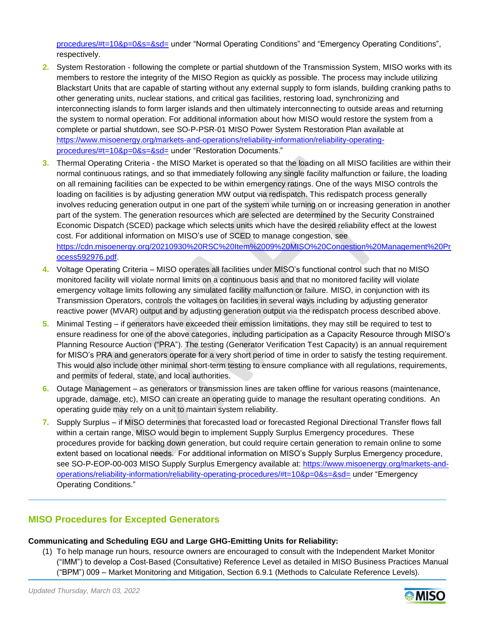[procedures/#t=10&p=0&s=&sd=](https://www.misoenergy.org/markets-and-operations/reliability-information/reliability-operating-procedures/#t=10&p=0&s=&sd=) under "Normal Operating Conditions" and "Emergency Operating Conditions", respectively.

- **2.** System Restoration following the complete or partial shutdown of the Transmission System, MISO works with its members to restore the integrity of the MISO Region as quickly as possible. The process may include utilizing Blackstart Units that are capable of starting without any external supply to form islands, building cranking paths to other generating units, nuclear stations, and critical gas facilities, restoring load, synchronizing and interconnecting islands to form larger islands and then ultimately interconnecting to outside areas and returning the system to normal operation. For additional information about how MISO would restore the system from a complete or partial shutdown, see SO-P-PSR-01 MISO Power System Restoration Plan available at [https://www.misoenergy.org/markets-and-operations/reliability-information/reliability-operating](https://www.misoenergy.org/markets-and-operations/reliability-information/reliability-operating-procedures/#t=10&p=0&s=&sd=)[procedures/#t=10&p=0&s=&sd=](https://www.misoenergy.org/markets-and-operations/reliability-information/reliability-operating-procedures/#t=10&p=0&s=&sd=) under "Restoration Documents."
- **3.** Thermal Operating Criteria the MISO Market is operated so that the loading on all MISO facilities are within their normal continuous ratings, and so that immediately following any single facility malfunction or failure, the loading on all remaining facilities can be expected to be within emergency ratings. One of the ways MISO controls the loading on facilities is by adjusting generation MW output via redispatch. This redispatch process generally involves reducing generation output in one part of the system while turning on or increasing generation in another part of the system. The generation resources which are selected are determined by the Security Constrained Economic Dispatch (SCED) package which selects units which have the desired reliability effect at the lowest cost. For additional information on MISO's use of SCED to manage congestion, see [https://cdn.misoenergy.org/20210930%20RSC%20Item%2009%20MISO%20Congestion%20Management%20Pr](https://cdn.misoenergy.org/20210930%20RSC%20Item%2009%20MISO%20Congestion%20Management%20Process592976.pdf) [ocess592976.pdf.](https://cdn.misoenergy.org/20210930%20RSC%20Item%2009%20MISO%20Congestion%20Management%20Process592976.pdf)
- **4.** Voltage Operating Criteria MISO operates all facilities under MISO's functional control such that no MISO monitored facility will violate normal limits on a continuous basis and that no monitored facility will violate emergency voltage limits following any simulated facility malfunction or failure. MISO, in conjunction with its Transmission Operators, controls the voltages on facilities in several ways including by adjusting generator reactive power (MVAR) output and by adjusting generation output via the redispatch process described above.
- **5.** Minimal Testing if generators have exceeded their emission limitations, they may still be required to test to ensure readiness for one of the above categories, including participation as a Capacity Resource through MISO's Planning Resource Auction ("PRA"). The testing (Generator Verification Test Capacity) is an annual requirement for MISO's PRA and generators operate for a very short period of time in order to satisfy the testing requirement. This would also include other minimal short-term testing to ensure compliance with all regulations, requirements, and permits of federal, state, and local authorities.
- **6.** Outage Management as generators or transmission lines are taken offline for various reasons (maintenance, upgrade, damage, etc), MISO can create an operating guide to manage the resultant operating conditions. An operating guide may rely on a unit to maintain system reliability.
- **7.** Supply Surplus if MISO determines that forecasted load or forecasted Regional Directional Transfer flows fall within a certain range, MISO would begin to implement Supply Surplus Emergency procedures. These procedures provide for backing down generation, but could require certain generation to remain online to some extent based on locational needs. For additional information on MISO's Supply Surplus Emergency procedure, see SO-P-EOP-00-003 MISO Supply Surplus Emergency available at: [https://www.misoenergy.org/markets-and](https://www.misoenergy.org/markets-and-operations/reliability-information/reliability-operating-procedures/#t=10&p=0&s=&sd=)[operations/reliability-information/reliability-operating-procedures/#t=10&p=0&s=&sd=](https://www.misoenergy.org/markets-and-operations/reliability-information/reliability-operating-procedures/#t=10&p=0&s=&sd=) under "Emergency Operating Conditions."

## **MISO Procedures for Excepted Generators**

# **Communicating and Scheduling EGU and Large GHG-Emitting Units for Reliability:**

(1) To help manage run hours, resource owners are encouraged to consult with the Independent Market Monitor ("IMM") to develop a Cost-Based (Consultative) Reference Level as detailed in MISO Business Practices Manual ("BPM") 009 – Market Monitoring and Mitigation, Section 6.9.1 (Methods to Calculate Reference Levels).

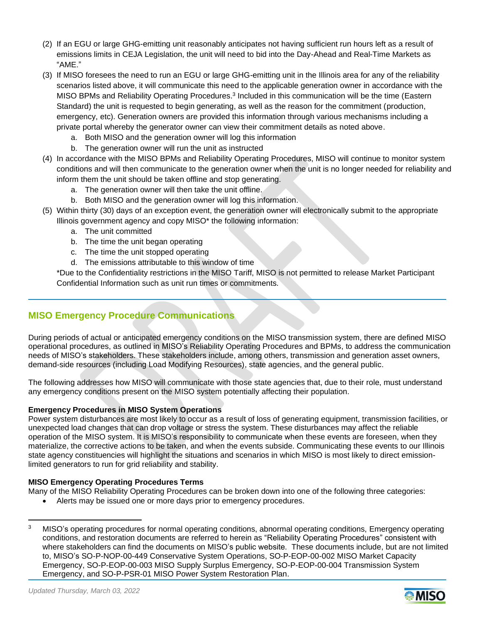- (2) If an EGU or large GHG-emitting unit reasonably anticipates not having sufficient run hours left as a result of emissions limits in CEJA Legislation, the unit will need to bid into the Day-Ahead and Real-Time Markets as "AME."
- (3) If MISO foresees the need to run an EGU or large GHG-emitting unit in the Illinois area for any of the reliability scenarios listed above, it will communicate this need to the applicable generation owner in accordance with the MISO BPMs and Reliability Operating Procedures.<sup>3</sup> Included in this communication will be the time (Eastern Standard) the unit is requested to begin generating, as well as the reason for the commitment (production, emergency, etc). Generation owners are provided this information through various mechanisms including a private portal whereby the generator owner can view their commitment details as noted above.
	- a. Both MISO and the generation owner will log this information
	- b. The generation owner will run the unit as instructed
- (4) In accordance with the MISO BPMs and Reliability Operating Procedures, MISO will continue to monitor system conditions and will then communicate to the generation owner when the unit is no longer needed for reliability and inform them the unit should be taken offline and stop generating.
	- a. The generation owner will then take the unit offline.
	- b. Both MISO and the generation owner will log this information.
- (5) Within thirty (30) days of an exception event, the generation owner will electronically submit to the appropriate Illinois government agency and copy MISO\* the following information:
	- a. The unit committed
	- b. The time the unit began operating
	- c. The time the unit stopped operating
	- d. The emissions attributable to this window of time

\*Due to the Confidentiality restrictions in the MISO Tariff, MISO is not permitted to release Market Participant Confidential Information such as unit run times or commitments.

# **MISO Emergency Procedure Communications**

During periods of actual or anticipated emergency conditions on the MISO transmission system, there are defined MISO operational procedures, as outlined in MISO's Reliability Operating Procedures and BPMs, to address the communication needs of MISO's stakeholders. These stakeholders include, among others, transmission and generation asset owners, demand-side resources (including Load Modifying Resources), state agencies, and the general public.

The following addresses how MISO will communicate with those state agencies that, due to their role, must understand any emergency conditions present on the MISO system potentially affecting their population.

### **Emergency Procedures in MISO System Operations**

Power system disturbances are most likely to occur as a result of loss of generating equipment, transmission facilities, or unexpected load changes that can drop voltage or stress the system. These disturbances may affect the reliable operation of the MISO system. It is MISO's responsibility to communicate when these events are foreseen, when they materialize, the corrective actions to be taken, and when the events subside. Communicating these events to our Illinois state agency constituencies will highlight the situations and scenarios in which MISO is most likely to direct emissionlimited generators to run for grid reliability and stability.

### **MISO Emergency Operating Procedures Terms**

- Many of the MISO Reliability Operating Procedures can be broken down into one of the following three categories:
	- Alerts may be issued one or more days prior to emergency procedures.



<sup>&</sup>lt;sup>3</sup> MISO's operating procedures for normal operating conditions, abnormal operating conditions, Emergency operating conditions, and restoration documents are referred to herein as "Reliability Operating Procedures" consistent with where stakeholders can find the documents on MISO's public website. These documents include, but are not limited to, MISO's SO-P-NOP-00-449 Conservative System Operations, SO-P-EOP-00-002 MISO Market Capacity Emergency, SO-P-EOP-00-003 MISO Supply Surplus Emergency, SO-P-EOP-00-004 Transmission System Emergency, and SO-P-PSR-01 MISO Power System Restoration Plan.